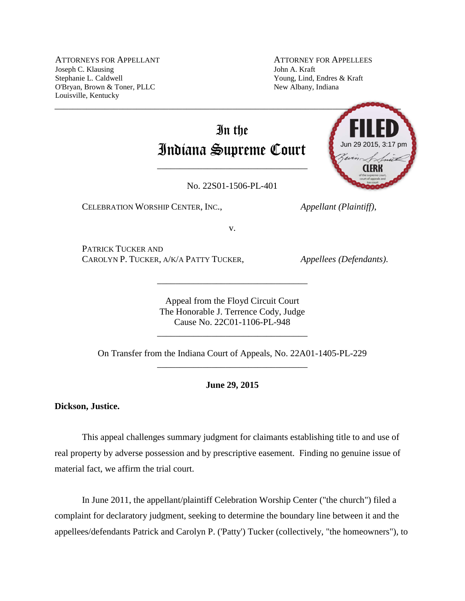ATTORNEYS FOR APPELLANT Joseph C. Klausing Stephanie L. Caldwell O'Bryan, Brown & Toner, PLLC Louisville, Kentucky

ATTORNEY FOR APPELLEES John A. Kraft Young, Lind, Endres & Kraft New Albany, Indiana

# In the Indiana Supreme Court

No. 22S01-1506-PL-401

\_\_\_\_\_\_\_\_\_\_\_\_\_\_\_\_\_\_\_\_\_\_\_\_\_\_\_\_\_\_\_\_\_

CELEBRATION WORSHIP CENTER, INC., *Appellant (Plaintiff)*,



v.

PATRICK TUCKER AND CAROLYN P. TUCKER, A/K/A PATTY TUCKER, *Appellees (Defendants)*.

Appeal from the Floyd Circuit Court The Honorable J. Terrence Cody, Judge Cause No. 22C01-1106-PL-948

\_\_\_\_\_\_\_\_\_\_\_\_\_\_\_\_\_\_\_\_\_\_\_\_\_\_\_\_\_\_\_\_\_

On Transfer from the Indiana Court of Appeals, No. 22A01-1405-PL-229 \_\_\_\_\_\_\_\_\_\_\_\_\_\_\_\_\_\_\_\_\_\_\_\_\_\_\_\_\_\_\_\_\_

\_\_\_\_\_\_\_\_\_\_\_\_\_\_\_\_\_\_\_\_\_\_\_\_\_\_\_\_\_\_\_\_\_

**June 29, 2015**

**Dickson, Justice.**

This appeal challenges summary judgment for claimants establishing title to and use of real property by adverse possession and by prescriptive easement. Finding no genuine issue of material fact, we affirm the trial court.

In June 2011, the appellant/plaintiff Celebration Worship Center ("the church") filed a complaint for declaratory judgment, seeking to determine the boundary line between it and the appellees/defendants Patrick and Carolyn P. ('Patty') Tucker (collectively, "the homeowners"), to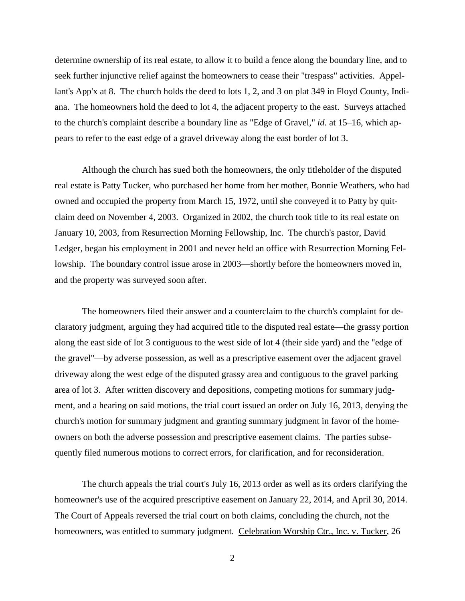determine ownership of its real estate, to allow it to build a fence along the boundary line, and to seek further injunctive relief against the homeowners to cease their "trespass" activities. Appellant's App'x at 8. The church holds the deed to lots 1, 2, and 3 on plat 349 in Floyd County, Indiana. The homeowners hold the deed to lot 4, the adjacent property to the east. Surveys attached to the church's complaint describe a boundary line as "Edge of Gravel," *id.* at 15–16, which appears to refer to the east edge of a gravel driveway along the east border of lot 3.

Although the church has sued both the homeowners, the only titleholder of the disputed real estate is Patty Tucker, who purchased her home from her mother, Bonnie Weathers, who had owned and occupied the property from March 15, 1972, until she conveyed it to Patty by quitclaim deed on November 4, 2003. Organized in 2002, the church took title to its real estate on January 10, 2003, from Resurrection Morning Fellowship, Inc. The church's pastor, David Ledger, began his employment in 2001 and never held an office with Resurrection Morning Fellowship. The boundary control issue arose in 2003—shortly before the homeowners moved in, and the property was surveyed soon after.

The homeowners filed their answer and a counterclaim to the church's complaint for declaratory judgment, arguing they had acquired title to the disputed real estate—the grassy portion along the east side of lot 3 contiguous to the west side of lot 4 (their side yard) and the "edge of the gravel"—by adverse possession, as well as a prescriptive easement over the adjacent gravel driveway along the west edge of the disputed grassy area and contiguous to the gravel parking area of lot 3. After written discovery and depositions, competing motions for summary judgment, and a hearing on said motions, the trial court issued an order on July 16, 2013, denying the church's motion for summary judgment and granting summary judgment in favor of the homeowners on both the adverse possession and prescriptive easement claims. The parties subsequently filed numerous motions to correct errors, for clarification, and for reconsideration.

The church appeals the trial court's July 16, 2013 order as well as its orders clarifying the homeowner's use of the acquired prescriptive easement on January 22, 2014, and April 30, 2014. The Court of Appeals reversed the trial court on both claims, concluding the church, not the homeowners, was entitled to summary judgment. Celebration Worship Ctr., Inc. v. Tucker, 26

2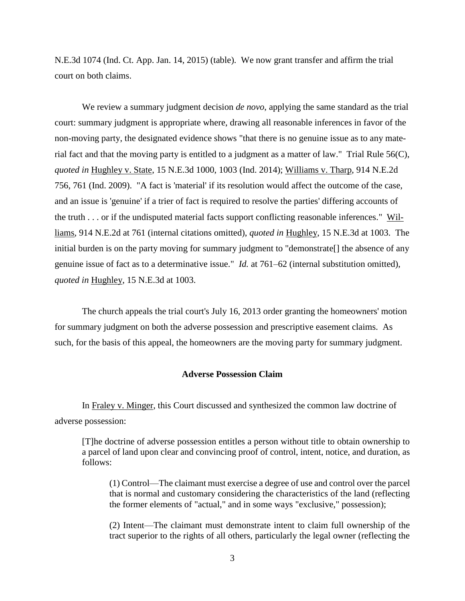N.E.3d 1074 (Ind. Ct. App. Jan. 14, 2015) (table). We now grant transfer and affirm the trial court on both claims.

We review a summary judgment decision *de novo*, applying the same standard as the trial court: summary judgment is appropriate where, drawing all reasonable inferences in favor of the non-moving party, the designated evidence shows "that there is no genuine issue as to any material fact and that the moving party is entitled to a judgment as a matter of law." Trial Rule 56(C), *quoted in* Hughley v. State, 15 N.E.3d 1000, 1003 (Ind. 2014); Williams v. Tharp, 914 N.E.2d 756, 761 (Ind. 2009). "A fact is 'material' if its resolution would affect the outcome of the case, and an issue is 'genuine' if a trier of fact is required to resolve the parties' differing accounts of the truth . . . or if the undisputed material facts support conflicting reasonable inferences." Williams, 914 N.E.2d at 761 (internal citations omitted), *quoted in* Hughley, 15 N.E.3d at 1003. The initial burden is on the party moving for summary judgment to "demonstrate<sup>[]</sup> the absence of any genuine issue of fact as to a determinative issue." *Id.* at 761–62 (internal substitution omitted), *quoted in* Hughley, 15 N.E.3d at 1003.

The church appeals the trial court's July 16, 2013 order granting the homeowners' motion for summary judgment on both the adverse possession and prescriptive easement claims. As such, for the basis of this appeal, the homeowners are the moving party for summary judgment.

## **Adverse Possession Claim**

In Fraley v. Minger, this Court discussed and synthesized the common law doctrine of adverse possession:

[T]he doctrine of adverse possession entitles a person without title to obtain ownership to a parcel of land upon clear and convincing proof of control, intent, notice, and duration, as follows:

(1) Control—The claimant must exercise a degree of use and control over the parcel that is normal and customary considering the characteristics of the land (reflecting the former elements of "actual," and in some ways "exclusive," possession);

(2) Intent—The claimant must demonstrate intent to claim full ownership of the tract superior to the rights of all others, particularly the legal owner (reflecting the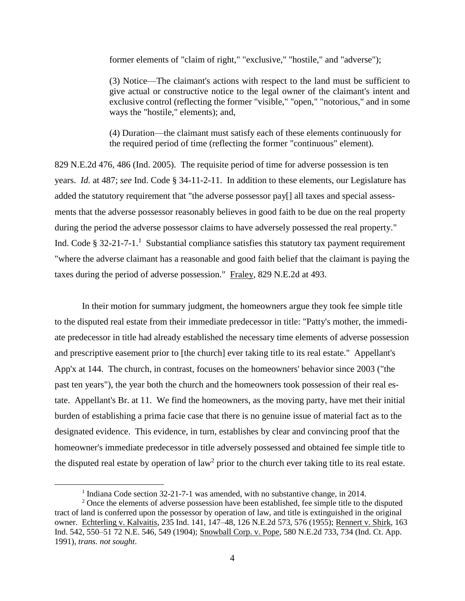former elements of "claim of right," "exclusive," "hostile," and "adverse");

(3) Notice—The claimant's actions with respect to the land must be sufficient to give actual or constructive notice to the legal owner of the claimant's intent and exclusive control (reflecting the former "visible," "open," "notorious," and in some ways the "hostile," elements); and,

(4) Duration—the claimant must satisfy each of these elements continuously for the required period of time (reflecting the former "continuous" element).

829 N.E.2d 476, 486 (Ind. 2005). The requisite period of time for adverse possession is ten years. *Id.* at 487; *see* Ind. Code § 34-11-2-11. In addition to these elements, our Legislature has added the statutory requirement that "the adverse possessor pay[] all taxes and special assessments that the adverse possessor reasonably believes in good faith to be due on the real property during the period the adverse possessor claims to have adversely possessed the real property." Ind. Code § 32-21-7-1.<sup>1</sup> Substantial compliance satisfies this statutory tax payment requirement "where the adverse claimant has a reasonable and good faith belief that the claimant is paying the taxes during the period of adverse possession." Fraley, 829 N.E.2d at 493.

In their motion for summary judgment, the homeowners argue they took fee simple title to the disputed real estate from their immediate predecessor in title: "Patty's mother, the immediate predecessor in title had already established the necessary time elements of adverse possession and prescriptive easement prior to [the church] ever taking title to its real estate." Appellant's App'x at 144. The church, in contrast, focuses on the homeowners' behavior since 2003 ("the past ten years"), the year both the church and the homeowners took possession of their real estate. Appellant's Br. at 11. We find the homeowners, as the moving party, have met their initial burden of establishing a prima facie case that there is no genuine issue of material fact as to the designated evidence. This evidence, in turn, establishes by clear and convincing proof that the homeowner's immediate predecessor in title adversely possessed and obtained fee simple title to the disputed real estate by operation of law<sup>2</sup> prior to the church ever taking title to its real estate.

<sup>&</sup>lt;sup>1</sup> Indiana Code section 32-21-7-1 was amended, with no substantive change, in 2014.

<sup>&</sup>lt;sup>2</sup> Once the elements of adverse possession have been established, fee simple title to the disputed tract of land is conferred upon the possessor by operation of law, and title is extinguished in the original owner. Echterling v. Kalvaitis, 235 Ind. 141, 147–48, 126 N.E.2d 573, 576 (1955); Rennert v. Shirk, 163 Ind. 542, 550–51 72 N.E. 546, 549 (1904); Snowball Corp. v. Pope, 580 N.E.2d 733, 734 (Ind. Ct. App. 1991), *trans. not sought*.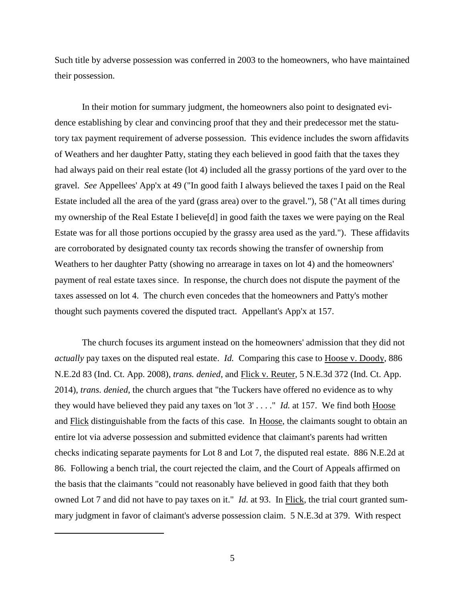Such title by adverse possession was conferred in 2003 to the homeowners, who have maintained their possession.

In their motion for summary judgment, the homeowners also point to designated evidence establishing by clear and convincing proof that they and their predecessor met the statutory tax payment requirement of adverse possession. This evidence includes the sworn affidavits of Weathers and her daughter Patty, stating they each believed in good faith that the taxes they had always paid on their real estate (lot 4) included all the grassy portions of the yard over to the gravel. *See* Appellees' App'x at 49 ("In good faith I always believed the taxes I paid on the Real Estate included all the area of the yard (grass area) over to the gravel."), 58 ("At all times during my ownership of the Real Estate I believe[d] in good faith the taxes we were paying on the Real Estate was for all those portions occupied by the grassy area used as the yard."). These affidavits are corroborated by designated county tax records showing the transfer of ownership from Weathers to her daughter Patty (showing no arrearage in taxes on lot 4) and the homeowners' payment of real estate taxes since. In response, the church does not dispute the payment of the taxes assessed on lot 4. The church even concedes that the homeowners and Patty's mother thought such payments covered the disputed tract. Appellant's App'x at 157.

The church focuses its argument instead on the homeowners' admission that they did not *actually* pay taxes on the disputed real estate. *Id.* Comparing this case to Hoose v. Doody, 886 N.E.2d 83 (Ind. Ct. App. 2008), *trans. denied*, and Flick v. Reuter, 5 N.E.3d 372 (Ind. Ct. App. 2014), *trans. denied*, the church argues that "the Tuckers have offered no evidence as to why they would have believed they paid any taxes on 'lot 3' . . . ." *Id.* at 157. We find both Hoose and Flick distinguishable from the facts of this case. In Hoose, the claimants sought to obtain an entire lot via adverse possession and submitted evidence that claimant's parents had written checks indicating separate payments for Lot 8 and Lot 7, the disputed real estate. 886 N.E.2d at 86. Following a bench trial, the court rejected the claim, and the Court of Appeals affirmed on the basis that the claimants "could not reasonably have believed in good faith that they both owned Lot 7 and did not have to pay taxes on it." *Id.* at 93. In Flick, the trial court granted summary judgment in favor of claimant's adverse possession claim. 5 N.E.3d at 379. With respect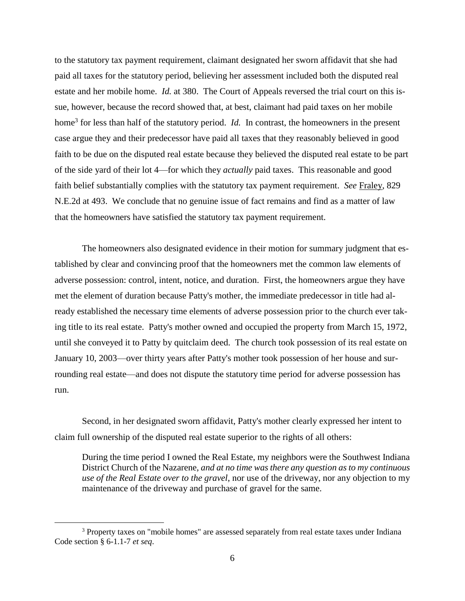to the statutory tax payment requirement, claimant designated her sworn affidavit that she had paid all taxes for the statutory period, believing her assessment included both the disputed real estate and her mobile home. *Id.* at 380. The Court of Appeals reversed the trial court on this issue, however, because the record showed that, at best, claimant had paid taxes on her mobile home<sup>3</sup> for less than half of the statutory period. *Id.* In contrast, the homeowners in the present case argue they and their predecessor have paid all taxes that they reasonably believed in good faith to be due on the disputed real estate because they believed the disputed real estate to be part of the side yard of their lot 4—for which they *actually* paid taxes. This reasonable and good faith belief substantially complies with the statutory tax payment requirement. *See* Fraley, 829 N.E.2d at 493. We conclude that no genuine issue of fact remains and find as a matter of law that the homeowners have satisfied the statutory tax payment requirement.

The homeowners also designated evidence in their motion for summary judgment that established by clear and convincing proof that the homeowners met the common law elements of adverse possession: control, intent, notice, and duration. First, the homeowners argue they have met the element of duration because Patty's mother, the immediate predecessor in title had already established the necessary time elements of adverse possession prior to the church ever taking title to its real estate. Patty's mother owned and occupied the property from March 15, 1972, until she conveyed it to Patty by quitclaim deed. The church took possession of its real estate on January 10, 2003—over thirty years after Patty's mother took possession of her house and surrounding real estate—and does not dispute the statutory time period for adverse possession has run.

Second, in her designated sworn affidavit, Patty's mother clearly expressed her intent to claim full ownership of the disputed real estate superior to the rights of all others:

During the time period I owned the Real Estate, my neighbors were the Southwest Indiana District Church of the Nazarene, *and at no time was there any question as to my continuous use of the Real Estate over to the gravel*, nor use of the driveway, nor any objection to my maintenance of the driveway and purchase of gravel for the same.

<sup>&</sup>lt;sup>3</sup> Property taxes on "mobile homes" are assessed separately from real estate taxes under Indiana Code section § 6-1.1-7 *et seq*.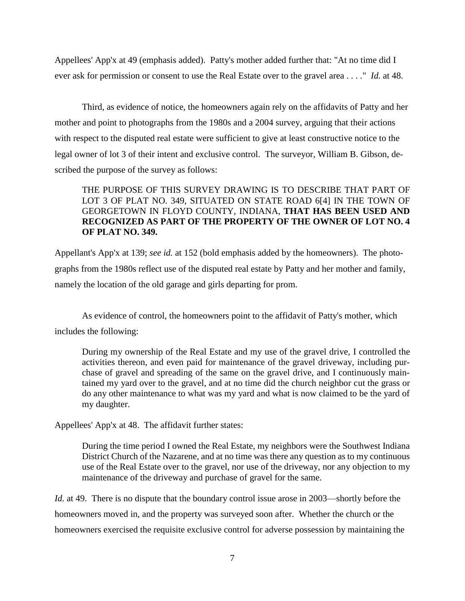Appellees' App'x at 49 (emphasis added). Patty's mother added further that: "At no time did I ever ask for permission or consent to use the Real Estate over to the gravel area . . . ." *Id.* at 48.

Third, as evidence of notice, the homeowners again rely on the affidavits of Patty and her mother and point to photographs from the 1980s and a 2004 survey, arguing that their actions with respect to the disputed real estate were sufficient to give at least constructive notice to the legal owner of lot 3 of their intent and exclusive control. The surveyor, William B. Gibson, described the purpose of the survey as follows:

# THE PURPOSE OF THIS SURVEY DRAWING IS TO DESCRIBE THAT PART OF LOT 3 OF PLAT NO. 349, SITUATED ON STATE ROAD 6[4] IN THE TOWN OF GEORGETOWN IN FLOYD COUNTY, INDIANA, **THAT HAS BEEN USED AND RECOGNIZED AS PART OF THE PROPERTY OF THE OWNER OF LOT NO. 4 OF PLAT NO. 349.**

Appellant's App'x at 139; *see id.* at 152 (bold emphasis added by the homeowners). The photographs from the 1980s reflect use of the disputed real estate by Patty and her mother and family, namely the location of the old garage and girls departing for prom.

As evidence of control, the homeowners point to the affidavit of Patty's mother, which includes the following:

During my ownership of the Real Estate and my use of the gravel drive, I controlled the activities thereon, and even paid for maintenance of the gravel driveway, including purchase of gravel and spreading of the same on the gravel drive, and I continuously maintained my yard over to the gravel, and at no time did the church neighbor cut the grass or do any other maintenance to what was my yard and what is now claimed to be the yard of my daughter.

Appellees' App'x at 48. The affidavit further states:

During the time period I owned the Real Estate, my neighbors were the Southwest Indiana District Church of the Nazarene, and at no time was there any question as to my continuous use of the Real Estate over to the gravel, nor use of the driveway, nor any objection to my maintenance of the driveway and purchase of gravel for the same.

*Id.* at 49. There is no dispute that the boundary control issue arose in 2003—shortly before the homeowners moved in, and the property was surveyed soon after. Whether the church or the homeowners exercised the requisite exclusive control for adverse possession by maintaining the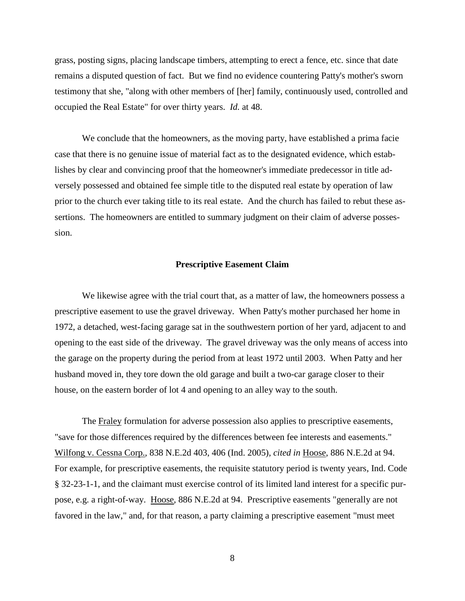grass, posting signs, placing landscape timbers, attempting to erect a fence, etc. since that date remains a disputed question of fact. But we find no evidence countering Patty's mother's sworn testimony that she, "along with other members of [her] family, continuously used, controlled and occupied the Real Estate" for over thirty years. *Id.* at 48.

We conclude that the homeowners, as the moving party, have established a prima facie case that there is no genuine issue of material fact as to the designated evidence, which establishes by clear and convincing proof that the homeowner's immediate predecessor in title adversely possessed and obtained fee simple title to the disputed real estate by operation of law prior to the church ever taking title to its real estate. And the church has failed to rebut these assertions. The homeowners are entitled to summary judgment on their claim of adverse possession.

#### **Prescriptive Easement Claim**

We likewise agree with the trial court that, as a matter of law, the homeowners possess a prescriptive easement to use the gravel driveway. When Patty's mother purchased her home in 1972, a detached, west-facing garage sat in the southwestern portion of her yard, adjacent to and opening to the east side of the driveway. The gravel driveway was the only means of access into the garage on the property during the period from at least 1972 until 2003. When Patty and her husband moved in, they tore down the old garage and built a two-car garage closer to their house, on the eastern border of lot 4 and opening to an alley way to the south.

The Fraley formulation for adverse possession also applies to prescriptive easements, "save for those differences required by the differences between fee interests and easements." Wilfong v. Cessna Corp., 838 N.E.2d 403, 406 (Ind. 2005), *cited in* Hoose, 886 N.E.2d at 94. For example, for prescriptive easements, the requisite statutory period is twenty years, Ind. Code § 32-23-1-1, and the claimant must exercise control of its limited land interest for a specific purpose, e.g. a right-of-way. Hoose, 886 N.E.2d at 94. Prescriptive easements "generally are not favored in the law," and, for that reason, a party claiming a prescriptive easement "must meet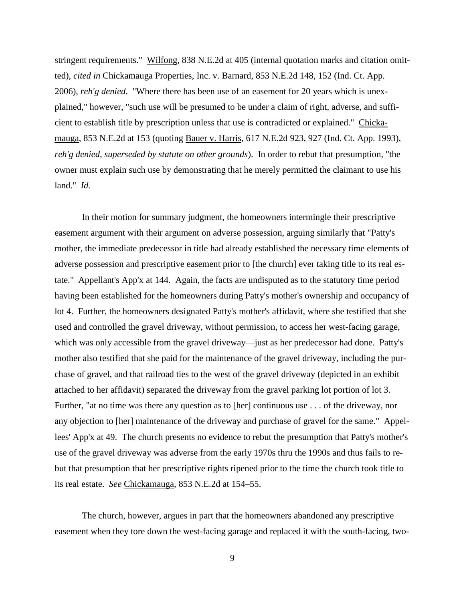stringent requirements." Wilfong, 838 N.E.2d at 405 (internal quotation marks and citation omitted), *cited in* Chickamauga Properties, Inc. v. Barnard, 853 N.E.2d 148, 152 (Ind. Ct. App. 2006), *reh'g denied*. "Where there has been use of an easement for 20 years which is unexplained," however, "such use will be presumed to be under a claim of right, adverse, and sufficient to establish title by prescription unless that use is contradicted or explained." Chickamauga, 853 N.E.2d at 153 (quoting Bauer v. Harris, 617 N.E.2d 923, 927 (Ind. Ct. App. 1993), *reh'g denied, superseded by statute on other grounds*). In order to rebut that presumption, "the owner must explain such use by demonstrating that he merely permitted the claimant to use his land." *Id.*

In their motion for summary judgment, the homeowners intermingle their prescriptive easement argument with their argument on adverse possession, arguing similarly that "Patty's mother, the immediate predecessor in title had already established the necessary time elements of adverse possession and prescriptive easement prior to [the church] ever taking title to its real estate." Appellant's App'x at 144. Again, the facts are undisputed as to the statutory time period having been established for the homeowners during Patty's mother's ownership and occupancy of lot 4. Further, the homeowners designated Patty's mother's affidavit, where she testified that she used and controlled the gravel driveway, without permission, to access her west-facing garage, which was only accessible from the gravel driveway—just as her predecessor had done. Patty's mother also testified that she paid for the maintenance of the gravel driveway, including the purchase of gravel, and that railroad ties to the west of the gravel driveway (depicted in an exhibit attached to her affidavit) separated the driveway from the gravel parking lot portion of lot 3. Further, "at no time was there any question as to [her] continuous use . . . of the driveway, nor any objection to [her] maintenance of the driveway and purchase of gravel for the same." Appellees' App'x at 49. The church presents no evidence to rebut the presumption that Patty's mother's use of the gravel driveway was adverse from the early 1970s thru the 1990s and thus fails to rebut that presumption that her prescriptive rights ripened prior to the time the church took title to its real estate. *See* Chickamauga, 853 N.E.2d at 154–55.

The church, however, argues in part that the homeowners abandoned any prescriptive easement when they tore down the west-facing garage and replaced it with the south-facing, two